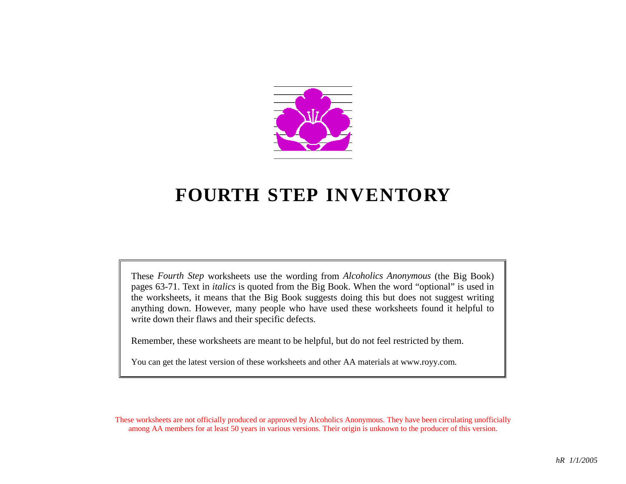

# **FOURTH STEP INVENTORY**

These *Fourth Step* worksheets use the wording from *Alcoholics Anonymous* (the Big Book) pages 63-71. Text in *italics* is quoted from the Big Book. When the word "optional" is used in the worksheets, it means that the Big Book suggests doing this but does not suggest writing anything down. However, many people who have used these worksheets found it helpful to write down their flaws and their specific defects.

Remember, these worksheets are meant to be helpful, but do not feel restricted by them.

You can get the latest version of these worksheets and other AA materials at www.royy.com.

These worksheets are not officially produced or approved by Alcoholics Anonymous. They have been circulating unofficially among AA members for at least 50 years in various versions. Their origin is unknown to the producer of this version.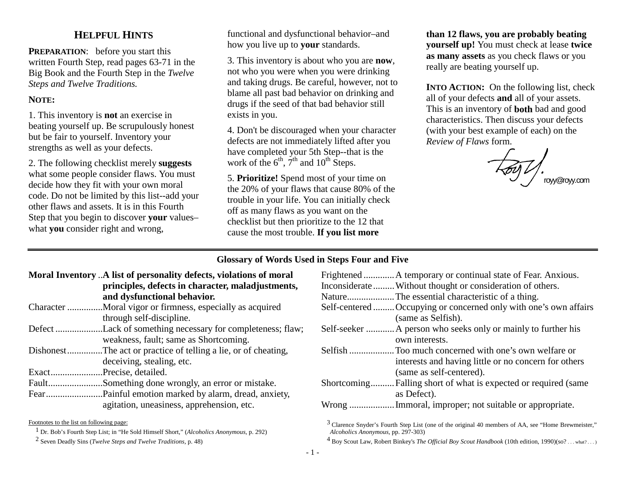## **HELPFUL HINTS**

**PREPARATION:** before you start this written Fourth Step, read pages 63-71 in the Big Book and the Fourth Step in the *Twelve Steps and Twelve Traditions.* 

#### **NOTE:**

1. This inventory is **not** an exercise in beating yourself up. Be scrupulously honest but be fair to yourself. Inventory your strengths as well as your defects.

2. The following checklist merely **suggests** what some people consider flaws. You must decide how they fit with your own moral code. Do not be limited by this list--add your other flaws and assets. It is in this Fourth Step that you begin to discover **your** values– what **you** consider right and wrong,

functional and dysfunctional behavior–and how you live up to **your** standards.

3. This inventory is about who you are **now**, not who you were when you were drinking and taking drugs. Be careful, however, not to blame all past bad behavior on drinking and drugs if the seed of that bad behavior still exists in you.

4. Don't be discouraged when your character defects are not immediately lifted after you have completed your 5th Step--that is the work of the  $6<sup>th</sup>$ ,  $7<sup>th</sup>$  and  $10<sup>th</sup>$  Steps.

5. **Prioritize!** Spend most of your time on the 20% of your flaws that cause 80% of the trouble in your life. You can initially check off as many flaws as you want on the checklist but then prioritize to the 12 that cause the most trouble. **If you list more** 

**than 12 flaws, you are probably beating yourself up!** You must check at lease **twice as many assets** as you check flaws or you really are beating yourself up.

**INTO ACTION:** On the following list, check all of your defects **and** all of your assets. This is an inventory of **both** bad and good characteristics. Then discuss your defects (with your best example of each) on the *Review of Flaws* form.

royy@royy.com

#### **Glossary of Words Used in Steps Four and Five**

- **Moral Inventory** ..**A list of personality defects, violations of moral principles, defects in character, maladjustments, and dysfunctional behavior.**  Character ...............Moral vigor or firmness, especially as acquired
- through self-discipline.
- Defect ....................Lack of something necessary for completeness; flaw; weakness, fault; same as Shortcoming.
- Dishonest...............The act or practice of telling a lie, or of cheating, deceiving, stealing, etc.

Exact......................Precise, detailed.

Fault........................Something done wrongly, an error or mistake.

Fear........................Painful emotion marked by alarm, dread, anxiety, agitation, uneasiness, apprehension, etc.

Footnotes to the list on following page:

1 Dr. Bob's Fourth Step List; in "He Sold Himself Short," (*Alcoholics Anonymous,* p. 292)

2 Seven Deadly Sins (*Twelve Steps and Twelve Traditions,* p. 48)

| Frightened  A temporary or continual state of Fear. Anxious.      |
|-------------------------------------------------------------------|
| Inconsiderate Without thought or consideration of others.         |
| NatureThe essential characteristic of a thing.                    |
| Self-centered  Occupying or concerned only with one's own affairs |
| (same as Selfish).                                                |
| Self-seeker  A person who seeks only or mainly to further his     |
| own interests.                                                    |
|                                                                   |
| interests and having little or no concern for others              |
| (same as self-centered).                                          |
| Shortcoming Falling short of what is expected or required (same   |
| as Defect).                                                       |
|                                                                   |

 $3$  Clarence Snyder's Fourth Step List (one of the original 40 members of AA, see "Home Brewmeister," *Alcoholics Anonymous,* pp. 297-303)

<sup>4</sup> Boy Scout Law, Robert Binkey's *The Official Boy Scout Handbook* (10th edition, 1990)(so? . . . what? . . . )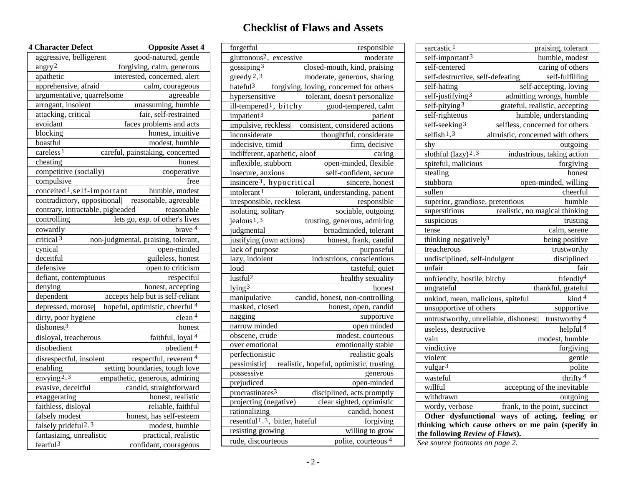# **Checklist of Flaws and Assets**

| <b>4 Character Defect</b>                 | <b>Opposite Asset 4</b>                           |  |  |
|-------------------------------------------|---------------------------------------------------|--|--|
| aggressive, belligerent                   | good-natured, gentle                              |  |  |
| angry <sup>2</sup>                        | forgiving, calm, generous                         |  |  |
| apathetic<br>interested, concerned, alert |                                                   |  |  |
| apprehensive, afraid                      | calm, courageous                                  |  |  |
| argumentative, quarrelsome                | agreeable                                         |  |  |
| arrogant, insolent                        | unassuming, humble                                |  |  |
| attacking, critical                       | fair, self-restrained                             |  |  |
| avoidant                                  | faces problems and acts                           |  |  |
| blocking                                  | honest, intuitive                                 |  |  |
| boastful                                  | modest, humble                                    |  |  |
| careless <sup>1</sup>                     | careful, painstaking, concerned                   |  |  |
| cheating                                  | honest                                            |  |  |
| competitive (socially)                    | cooperative                                       |  |  |
| compulsive                                | free                                              |  |  |
| conceited <sup>1</sup> , self-important   | humble, modest                                    |  |  |
|                                           | contradictory, oppositional reasonable, agreeable |  |  |
| contrary, intractable, pigheaded          | reasonable                                        |  |  |
| controlling                               | lets go, esp. of other's lives                    |  |  |
| cowardly                                  | brave 4                                           |  |  |
| critical <sup>3</sup>                     | non-judgmental, praising, tolerant,               |  |  |
| cynical                                   | open-minded                                       |  |  |
| deceitful                                 | guileless, honest                                 |  |  |
| defensive                                 | open to criticism                                 |  |  |
| defiant, contemptuous                     | respectful                                        |  |  |
| denying                                   | honest, accepting                                 |  |  |
| dependent                                 | accepts help but is self-reliant                  |  |  |
| depressed, morose                         | hopeful, optimistic, cheerful 4                   |  |  |
|                                           | clean <sup>4</sup><br>dirty, poor hygiene         |  |  |
| dishonest <sup>3</sup>                    | honest                                            |  |  |
| disloyal, treacherous                     | faithful, loyal <sup>4</sup>                      |  |  |
| disobedient                               | $\overline{\text{obedient}}$ <sup>4</sup>         |  |  |
| disrespectful, insolent                   | respectful, reverent 4                            |  |  |
| enabling                                  | setting boundaries, tough love                    |  |  |
| envying <sup>2,3</sup>                    | empathetic, generous, admiring                    |  |  |
| evasive, deceitful                        | candid, straightforward                           |  |  |
| exaggerating                              | honest, realistic                                 |  |  |
| faithless, disloyal                       | reliable, faithful                                |  |  |
| falsely modest                            | honest, has self-esteem                           |  |  |
| falsely prideful <sup>2,3</sup>           | modest, humble                                    |  |  |
| fantasizing, unrealistic                  | practical, realistic                              |  |  |
| fearful <sup>3</sup>                      |                                                   |  |  |
|                                           | confidant, courageous                             |  |  |

| forgetful<br>responsible<br>gluttonous <sup>2</sup> ,<br>excessive<br>moderate<br>gossiping <sup>3</sup><br>closed-mouth, kind, praising<br>greedy $2,3$<br>moderate, generous, sharing<br>hateful <sup>3</sup><br>forgiving, loving, concerned for others<br>tolerant, doesn't personalize<br>hypersensitive<br>ill-tempered <sup>1</sup> , bitchy<br>good-tempered, calm<br>impatient $3$<br>patient<br>impulsive, reckless<br>consistent, considered actions<br>inconsiderate<br>thoughtful, considerate<br>indecisive, timid<br>firm, decisive<br>indifferent, apathetic, aloof<br>caring<br>inflexible, stubborn<br>open-minded, flexible<br>insecure, anxious<br>self-confident, secure<br>insincere <sup>3</sup> , hypocritical<br>sincere, honest<br>tolerant, understanding, patient<br>intolerant <sup>1</sup><br>irresponsible, reckless<br>responsible<br>isolating, solitary<br>sociable, outgoing<br>jealous <sup>1,3</sup><br>trusting, generous, admiring<br>broadminded, tolerant<br>judgmental<br>justifying (own actions)<br>honest, frank, candid<br>lack of purpose<br>purposeful<br>lazy, indolent<br>industrious, conscientious<br>loud<br>tasteful, quiet<br>lustful <sup>2</sup><br>healthy sexuality<br>lying <sup>3</sup><br>honest<br>manipulative<br>candid, honest, non-controlling<br>masked, closed<br>honest, open, candid<br>nagging<br>supportive<br>narrow minded<br>open minded<br>obscene, crude<br>modest, courteous<br>over emotional<br>emotionally stable<br>perfectionistic<br>realistic goals<br>realistic, hopeful, optimistic, trusting<br>pessimistic<br>possessive<br>generous<br>prejudiced<br>open-minded<br>procrastinates <sup>3</sup><br>disciplined, acts promptly<br>projecting (negative)<br>clear sighted, optimistic<br>rationalizing<br>candid, honest<br>resentful <sup>1,3</sup> , bitter, hateful<br>forgiving | willing to grow<br>resisting growing                 |
|------------------------------------------------------------------------------------------------------------------------------------------------------------------------------------------------------------------------------------------------------------------------------------------------------------------------------------------------------------------------------------------------------------------------------------------------------------------------------------------------------------------------------------------------------------------------------------------------------------------------------------------------------------------------------------------------------------------------------------------------------------------------------------------------------------------------------------------------------------------------------------------------------------------------------------------------------------------------------------------------------------------------------------------------------------------------------------------------------------------------------------------------------------------------------------------------------------------------------------------------------------------------------------------------------------------------------------------------------------------------------------------------------------------------------------------------------------------------------------------------------------------------------------------------------------------------------------------------------------------------------------------------------------------------------------------------------------------------------------------------------------------------------------------------------------------------------------------------------------------------------|------------------------------------------------------|
|                                                                                                                                                                                                                                                                                                                                                                                                                                                                                                                                                                                                                                                                                                                                                                                                                                                                                                                                                                                                                                                                                                                                                                                                                                                                                                                                                                                                                                                                                                                                                                                                                                                                                                                                                                                                                                                                              |                                                      |
|                                                                                                                                                                                                                                                                                                                                                                                                                                                                                                                                                                                                                                                                                                                                                                                                                                                                                                                                                                                                                                                                                                                                                                                                                                                                                                                                                                                                                                                                                                                                                                                                                                                                                                                                                                                                                                                                              |                                                      |
|                                                                                                                                                                                                                                                                                                                                                                                                                                                                                                                                                                                                                                                                                                                                                                                                                                                                                                                                                                                                                                                                                                                                                                                                                                                                                                                                                                                                                                                                                                                                                                                                                                                                                                                                                                                                                                                                              |                                                      |
|                                                                                                                                                                                                                                                                                                                                                                                                                                                                                                                                                                                                                                                                                                                                                                                                                                                                                                                                                                                                                                                                                                                                                                                                                                                                                                                                                                                                                                                                                                                                                                                                                                                                                                                                                                                                                                                                              |                                                      |
|                                                                                                                                                                                                                                                                                                                                                                                                                                                                                                                                                                                                                                                                                                                                                                                                                                                                                                                                                                                                                                                                                                                                                                                                                                                                                                                                                                                                                                                                                                                                                                                                                                                                                                                                                                                                                                                                              |                                                      |
|                                                                                                                                                                                                                                                                                                                                                                                                                                                                                                                                                                                                                                                                                                                                                                                                                                                                                                                                                                                                                                                                                                                                                                                                                                                                                                                                                                                                                                                                                                                                                                                                                                                                                                                                                                                                                                                                              |                                                      |
|                                                                                                                                                                                                                                                                                                                                                                                                                                                                                                                                                                                                                                                                                                                                                                                                                                                                                                                                                                                                                                                                                                                                                                                                                                                                                                                                                                                                                                                                                                                                                                                                                                                                                                                                                                                                                                                                              |                                                      |
|                                                                                                                                                                                                                                                                                                                                                                                                                                                                                                                                                                                                                                                                                                                                                                                                                                                                                                                                                                                                                                                                                                                                                                                                                                                                                                                                                                                                                                                                                                                                                                                                                                                                                                                                                                                                                                                                              |                                                      |
|                                                                                                                                                                                                                                                                                                                                                                                                                                                                                                                                                                                                                                                                                                                                                                                                                                                                                                                                                                                                                                                                                                                                                                                                                                                                                                                                                                                                                                                                                                                                                                                                                                                                                                                                                                                                                                                                              |                                                      |
|                                                                                                                                                                                                                                                                                                                                                                                                                                                                                                                                                                                                                                                                                                                                                                                                                                                                                                                                                                                                                                                                                                                                                                                                                                                                                                                                                                                                                                                                                                                                                                                                                                                                                                                                                                                                                                                                              |                                                      |
|                                                                                                                                                                                                                                                                                                                                                                                                                                                                                                                                                                                                                                                                                                                                                                                                                                                                                                                                                                                                                                                                                                                                                                                                                                                                                                                                                                                                                                                                                                                                                                                                                                                                                                                                                                                                                                                                              |                                                      |
|                                                                                                                                                                                                                                                                                                                                                                                                                                                                                                                                                                                                                                                                                                                                                                                                                                                                                                                                                                                                                                                                                                                                                                                                                                                                                                                                                                                                                                                                                                                                                                                                                                                                                                                                                                                                                                                                              |                                                      |
|                                                                                                                                                                                                                                                                                                                                                                                                                                                                                                                                                                                                                                                                                                                                                                                                                                                                                                                                                                                                                                                                                                                                                                                                                                                                                                                                                                                                                                                                                                                                                                                                                                                                                                                                                                                                                                                                              |                                                      |
|                                                                                                                                                                                                                                                                                                                                                                                                                                                                                                                                                                                                                                                                                                                                                                                                                                                                                                                                                                                                                                                                                                                                                                                                                                                                                                                                                                                                                                                                                                                                                                                                                                                                                                                                                                                                                                                                              |                                                      |
|                                                                                                                                                                                                                                                                                                                                                                                                                                                                                                                                                                                                                                                                                                                                                                                                                                                                                                                                                                                                                                                                                                                                                                                                                                                                                                                                                                                                                                                                                                                                                                                                                                                                                                                                                                                                                                                                              |                                                      |
|                                                                                                                                                                                                                                                                                                                                                                                                                                                                                                                                                                                                                                                                                                                                                                                                                                                                                                                                                                                                                                                                                                                                                                                                                                                                                                                                                                                                                                                                                                                                                                                                                                                                                                                                                                                                                                                                              |                                                      |
|                                                                                                                                                                                                                                                                                                                                                                                                                                                                                                                                                                                                                                                                                                                                                                                                                                                                                                                                                                                                                                                                                                                                                                                                                                                                                                                                                                                                                                                                                                                                                                                                                                                                                                                                                                                                                                                                              |                                                      |
|                                                                                                                                                                                                                                                                                                                                                                                                                                                                                                                                                                                                                                                                                                                                                                                                                                                                                                                                                                                                                                                                                                                                                                                                                                                                                                                                                                                                                                                                                                                                                                                                                                                                                                                                                                                                                                                                              |                                                      |
|                                                                                                                                                                                                                                                                                                                                                                                                                                                                                                                                                                                                                                                                                                                                                                                                                                                                                                                                                                                                                                                                                                                                                                                                                                                                                                                                                                                                                                                                                                                                                                                                                                                                                                                                                                                                                                                                              |                                                      |
|                                                                                                                                                                                                                                                                                                                                                                                                                                                                                                                                                                                                                                                                                                                                                                                                                                                                                                                                                                                                                                                                                                                                                                                                                                                                                                                                                                                                                                                                                                                                                                                                                                                                                                                                                                                                                                                                              |                                                      |
|                                                                                                                                                                                                                                                                                                                                                                                                                                                                                                                                                                                                                                                                                                                                                                                                                                                                                                                                                                                                                                                                                                                                                                                                                                                                                                                                                                                                                                                                                                                                                                                                                                                                                                                                                                                                                                                                              |                                                      |
|                                                                                                                                                                                                                                                                                                                                                                                                                                                                                                                                                                                                                                                                                                                                                                                                                                                                                                                                                                                                                                                                                                                                                                                                                                                                                                                                                                                                                                                                                                                                                                                                                                                                                                                                                                                                                                                                              |                                                      |
|                                                                                                                                                                                                                                                                                                                                                                                                                                                                                                                                                                                                                                                                                                                                                                                                                                                                                                                                                                                                                                                                                                                                                                                                                                                                                                                                                                                                                                                                                                                                                                                                                                                                                                                                                                                                                                                                              |                                                      |
|                                                                                                                                                                                                                                                                                                                                                                                                                                                                                                                                                                                                                                                                                                                                                                                                                                                                                                                                                                                                                                                                                                                                                                                                                                                                                                                                                                                                                                                                                                                                                                                                                                                                                                                                                                                                                                                                              |                                                      |
|                                                                                                                                                                                                                                                                                                                                                                                                                                                                                                                                                                                                                                                                                                                                                                                                                                                                                                                                                                                                                                                                                                                                                                                                                                                                                                                                                                                                                                                                                                                                                                                                                                                                                                                                                                                                                                                                              |                                                      |
|                                                                                                                                                                                                                                                                                                                                                                                                                                                                                                                                                                                                                                                                                                                                                                                                                                                                                                                                                                                                                                                                                                                                                                                                                                                                                                                                                                                                                                                                                                                                                                                                                                                                                                                                                                                                                                                                              |                                                      |
|                                                                                                                                                                                                                                                                                                                                                                                                                                                                                                                                                                                                                                                                                                                                                                                                                                                                                                                                                                                                                                                                                                                                                                                                                                                                                                                                                                                                                                                                                                                                                                                                                                                                                                                                                                                                                                                                              |                                                      |
|                                                                                                                                                                                                                                                                                                                                                                                                                                                                                                                                                                                                                                                                                                                                                                                                                                                                                                                                                                                                                                                                                                                                                                                                                                                                                                                                                                                                                                                                                                                                                                                                                                                                                                                                                                                                                                                                              |                                                      |
|                                                                                                                                                                                                                                                                                                                                                                                                                                                                                                                                                                                                                                                                                                                                                                                                                                                                                                                                                                                                                                                                                                                                                                                                                                                                                                                                                                                                                                                                                                                                                                                                                                                                                                                                                                                                                                                                              |                                                      |
|                                                                                                                                                                                                                                                                                                                                                                                                                                                                                                                                                                                                                                                                                                                                                                                                                                                                                                                                                                                                                                                                                                                                                                                                                                                                                                                                                                                                                                                                                                                                                                                                                                                                                                                                                                                                                                                                              |                                                      |
|                                                                                                                                                                                                                                                                                                                                                                                                                                                                                                                                                                                                                                                                                                                                                                                                                                                                                                                                                                                                                                                                                                                                                                                                                                                                                                                                                                                                                                                                                                                                                                                                                                                                                                                                                                                                                                                                              |                                                      |
|                                                                                                                                                                                                                                                                                                                                                                                                                                                                                                                                                                                                                                                                                                                                                                                                                                                                                                                                                                                                                                                                                                                                                                                                                                                                                                                                                                                                                                                                                                                                                                                                                                                                                                                                                                                                                                                                              |                                                      |
|                                                                                                                                                                                                                                                                                                                                                                                                                                                                                                                                                                                                                                                                                                                                                                                                                                                                                                                                                                                                                                                                                                                                                                                                                                                                                                                                                                                                                                                                                                                                                                                                                                                                                                                                                                                                                                                                              |                                                      |
|                                                                                                                                                                                                                                                                                                                                                                                                                                                                                                                                                                                                                                                                                                                                                                                                                                                                                                                                                                                                                                                                                                                                                                                                                                                                                                                                                                                                                                                                                                                                                                                                                                                                                                                                                                                                                                                                              |                                                      |
|                                                                                                                                                                                                                                                                                                                                                                                                                                                                                                                                                                                                                                                                                                                                                                                                                                                                                                                                                                                                                                                                                                                                                                                                                                                                                                                                                                                                                                                                                                                                                                                                                                                                                                                                                                                                                                                                              |                                                      |
|                                                                                                                                                                                                                                                                                                                                                                                                                                                                                                                                                                                                                                                                                                                                                                                                                                                                                                                                                                                                                                                                                                                                                                                                                                                                                                                                                                                                                                                                                                                                                                                                                                                                                                                                                                                                                                                                              |                                                      |
|                                                                                                                                                                                                                                                                                                                                                                                                                                                                                                                                                                                                                                                                                                                                                                                                                                                                                                                                                                                                                                                                                                                                                                                                                                                                                                                                                                                                                                                                                                                                                                                                                                                                                                                                                                                                                                                                              |                                                      |
|                                                                                                                                                                                                                                                                                                                                                                                                                                                                                                                                                                                                                                                                                                                                                                                                                                                                                                                                                                                                                                                                                                                                                                                                                                                                                                                                                                                                                                                                                                                                                                                                                                                                                                                                                                                                                                                                              |                                                      |
|                                                                                                                                                                                                                                                                                                                                                                                                                                                                                                                                                                                                                                                                                                                                                                                                                                                                                                                                                                                                                                                                                                                                                                                                                                                                                                                                                                                                                                                                                                                                                                                                                                                                                                                                                                                                                                                                              |                                                      |
|                                                                                                                                                                                                                                                                                                                                                                                                                                                                                                                                                                                                                                                                                                                                                                                                                                                                                                                                                                                                                                                                                                                                                                                                                                                                                                                                                                                                                                                                                                                                                                                                                                                                                                                                                                                                                                                                              |                                                      |
|                                                                                                                                                                                                                                                                                                                                                                                                                                                                                                                                                                                                                                                                                                                                                                                                                                                                                                                                                                                                                                                                                                                                                                                                                                                                                                                                                                                                                                                                                                                                                                                                                                                                                                                                                                                                                                                                              |                                                      |
|                                                                                                                                                                                                                                                                                                                                                                                                                                                                                                                                                                                                                                                                                                                                                                                                                                                                                                                                                                                                                                                                                                                                                                                                                                                                                                                                                                                                                                                                                                                                                                                                                                                                                                                                                                                                                                                                              | rude, discourteous<br>polite, courteous <sup>4</sup> |

| praising, tolerant<br>humble, modest<br>self-important $3$<br>self-centered<br>caring of others<br>self-destructive, self-defeating<br>self-fulfilling<br>self-accepting, loving<br>self-hating<br>self-justifying <sup>3</sup><br>admitting wrongs, humble<br>self-pitying $3$<br>grateful, realistic, accepting<br>self-righteous<br>humble, understanding<br>$self-seeking3$<br>selfless, concerned for others<br>selfish <sup>1,3</sup><br>altruistic, concerned with others<br>shy<br>outgoing<br>slothful $(\text{lazy})^2$ , 3<br>industrious, taking action<br>spiteful, malicious<br>forgiving<br>stealing<br>honest<br>stubborn<br>open-minded, willing<br>cheerful<br>sullen<br>superior, grandiose, pretentious<br>humble<br>realistic, no magical thinking<br>superstitious<br>suspicious<br>trusting<br>calm, serene<br>tense<br>thinking negatively <sup>3</sup><br>being positive<br>treacherous<br>trustworthy<br>undisciplined, self-indulgent<br>disciplined<br>unfair<br>fair<br>friendly <sup>4</sup><br>unfriendly, hostile, bitchy<br>thankful, grateful<br>ungrateful<br>kind $\overline{4}$<br>unkind, mean, malicious, spiteful<br>supportive<br>unsupportive of others<br>trustworthy <sup>4</sup><br>untrustworthy, unreliable, dishonest<br>helpful <sup>4</sup><br>useless, destructive<br>modest, humble<br>vain<br>vindictive<br>forgiving<br>violent<br>gentle<br>$\overline{\text{vulgar}}^3$<br>polite<br>thrifty $4$<br>wasteful<br>accepting of the inevitable<br>willful<br>withdrawn<br>outgoing<br>frank, to the point, succinct<br>wordy, verbose<br>Other dysfunctional ways of acting, feeling or<br>thinking which cause others or me pain (specify in<br>the following Review of Flaws). |                        |  |  |  |  |  |
|---------------------------------------------------------------------------------------------------------------------------------------------------------------------------------------------------------------------------------------------------------------------------------------------------------------------------------------------------------------------------------------------------------------------------------------------------------------------------------------------------------------------------------------------------------------------------------------------------------------------------------------------------------------------------------------------------------------------------------------------------------------------------------------------------------------------------------------------------------------------------------------------------------------------------------------------------------------------------------------------------------------------------------------------------------------------------------------------------------------------------------------------------------------------------------------------------------------------------------------------------------------------------------------------------------------------------------------------------------------------------------------------------------------------------------------------------------------------------------------------------------------------------------------------------------------------------------------------------------------------------------------------------------------------------------------------------------------------------------------|------------------------|--|--|--|--|--|
|                                                                                                                                                                                                                                                                                                                                                                                                                                                                                                                                                                                                                                                                                                                                                                                                                                                                                                                                                                                                                                                                                                                                                                                                                                                                                                                                                                                                                                                                                                                                                                                                                                                                                                                                       | sarcastic <sup>1</sup> |  |  |  |  |  |
|                                                                                                                                                                                                                                                                                                                                                                                                                                                                                                                                                                                                                                                                                                                                                                                                                                                                                                                                                                                                                                                                                                                                                                                                                                                                                                                                                                                                                                                                                                                                                                                                                                                                                                                                       |                        |  |  |  |  |  |
|                                                                                                                                                                                                                                                                                                                                                                                                                                                                                                                                                                                                                                                                                                                                                                                                                                                                                                                                                                                                                                                                                                                                                                                                                                                                                                                                                                                                                                                                                                                                                                                                                                                                                                                                       |                        |  |  |  |  |  |
|                                                                                                                                                                                                                                                                                                                                                                                                                                                                                                                                                                                                                                                                                                                                                                                                                                                                                                                                                                                                                                                                                                                                                                                                                                                                                                                                                                                                                                                                                                                                                                                                                                                                                                                                       |                        |  |  |  |  |  |
|                                                                                                                                                                                                                                                                                                                                                                                                                                                                                                                                                                                                                                                                                                                                                                                                                                                                                                                                                                                                                                                                                                                                                                                                                                                                                                                                                                                                                                                                                                                                                                                                                                                                                                                                       |                        |  |  |  |  |  |
|                                                                                                                                                                                                                                                                                                                                                                                                                                                                                                                                                                                                                                                                                                                                                                                                                                                                                                                                                                                                                                                                                                                                                                                                                                                                                                                                                                                                                                                                                                                                                                                                                                                                                                                                       |                        |  |  |  |  |  |
|                                                                                                                                                                                                                                                                                                                                                                                                                                                                                                                                                                                                                                                                                                                                                                                                                                                                                                                                                                                                                                                                                                                                                                                                                                                                                                                                                                                                                                                                                                                                                                                                                                                                                                                                       |                        |  |  |  |  |  |
|                                                                                                                                                                                                                                                                                                                                                                                                                                                                                                                                                                                                                                                                                                                                                                                                                                                                                                                                                                                                                                                                                                                                                                                                                                                                                                                                                                                                                                                                                                                                                                                                                                                                                                                                       |                        |  |  |  |  |  |
|                                                                                                                                                                                                                                                                                                                                                                                                                                                                                                                                                                                                                                                                                                                                                                                                                                                                                                                                                                                                                                                                                                                                                                                                                                                                                                                                                                                                                                                                                                                                                                                                                                                                                                                                       |                        |  |  |  |  |  |
|                                                                                                                                                                                                                                                                                                                                                                                                                                                                                                                                                                                                                                                                                                                                                                                                                                                                                                                                                                                                                                                                                                                                                                                                                                                                                                                                                                                                                                                                                                                                                                                                                                                                                                                                       |                        |  |  |  |  |  |
|                                                                                                                                                                                                                                                                                                                                                                                                                                                                                                                                                                                                                                                                                                                                                                                                                                                                                                                                                                                                                                                                                                                                                                                                                                                                                                                                                                                                                                                                                                                                                                                                                                                                                                                                       |                        |  |  |  |  |  |
|                                                                                                                                                                                                                                                                                                                                                                                                                                                                                                                                                                                                                                                                                                                                                                                                                                                                                                                                                                                                                                                                                                                                                                                                                                                                                                                                                                                                                                                                                                                                                                                                                                                                                                                                       |                        |  |  |  |  |  |
|                                                                                                                                                                                                                                                                                                                                                                                                                                                                                                                                                                                                                                                                                                                                                                                                                                                                                                                                                                                                                                                                                                                                                                                                                                                                                                                                                                                                                                                                                                                                                                                                                                                                                                                                       |                        |  |  |  |  |  |
|                                                                                                                                                                                                                                                                                                                                                                                                                                                                                                                                                                                                                                                                                                                                                                                                                                                                                                                                                                                                                                                                                                                                                                                                                                                                                                                                                                                                                                                                                                                                                                                                                                                                                                                                       |                        |  |  |  |  |  |
|                                                                                                                                                                                                                                                                                                                                                                                                                                                                                                                                                                                                                                                                                                                                                                                                                                                                                                                                                                                                                                                                                                                                                                                                                                                                                                                                                                                                                                                                                                                                                                                                                                                                                                                                       |                        |  |  |  |  |  |
|                                                                                                                                                                                                                                                                                                                                                                                                                                                                                                                                                                                                                                                                                                                                                                                                                                                                                                                                                                                                                                                                                                                                                                                                                                                                                                                                                                                                                                                                                                                                                                                                                                                                                                                                       |                        |  |  |  |  |  |
|                                                                                                                                                                                                                                                                                                                                                                                                                                                                                                                                                                                                                                                                                                                                                                                                                                                                                                                                                                                                                                                                                                                                                                                                                                                                                                                                                                                                                                                                                                                                                                                                                                                                                                                                       |                        |  |  |  |  |  |
|                                                                                                                                                                                                                                                                                                                                                                                                                                                                                                                                                                                                                                                                                                                                                                                                                                                                                                                                                                                                                                                                                                                                                                                                                                                                                                                                                                                                                                                                                                                                                                                                                                                                                                                                       |                        |  |  |  |  |  |
|                                                                                                                                                                                                                                                                                                                                                                                                                                                                                                                                                                                                                                                                                                                                                                                                                                                                                                                                                                                                                                                                                                                                                                                                                                                                                                                                                                                                                                                                                                                                                                                                                                                                                                                                       |                        |  |  |  |  |  |
|                                                                                                                                                                                                                                                                                                                                                                                                                                                                                                                                                                                                                                                                                                                                                                                                                                                                                                                                                                                                                                                                                                                                                                                                                                                                                                                                                                                                                                                                                                                                                                                                                                                                                                                                       |                        |  |  |  |  |  |
|                                                                                                                                                                                                                                                                                                                                                                                                                                                                                                                                                                                                                                                                                                                                                                                                                                                                                                                                                                                                                                                                                                                                                                                                                                                                                                                                                                                                                                                                                                                                                                                                                                                                                                                                       |                        |  |  |  |  |  |
|                                                                                                                                                                                                                                                                                                                                                                                                                                                                                                                                                                                                                                                                                                                                                                                                                                                                                                                                                                                                                                                                                                                                                                                                                                                                                                                                                                                                                                                                                                                                                                                                                                                                                                                                       |                        |  |  |  |  |  |
|                                                                                                                                                                                                                                                                                                                                                                                                                                                                                                                                                                                                                                                                                                                                                                                                                                                                                                                                                                                                                                                                                                                                                                                                                                                                                                                                                                                                                                                                                                                                                                                                                                                                                                                                       |                        |  |  |  |  |  |
|                                                                                                                                                                                                                                                                                                                                                                                                                                                                                                                                                                                                                                                                                                                                                                                                                                                                                                                                                                                                                                                                                                                                                                                                                                                                                                                                                                                                                                                                                                                                                                                                                                                                                                                                       |                        |  |  |  |  |  |
|                                                                                                                                                                                                                                                                                                                                                                                                                                                                                                                                                                                                                                                                                                                                                                                                                                                                                                                                                                                                                                                                                                                                                                                                                                                                                                                                                                                                                                                                                                                                                                                                                                                                                                                                       |                        |  |  |  |  |  |
|                                                                                                                                                                                                                                                                                                                                                                                                                                                                                                                                                                                                                                                                                                                                                                                                                                                                                                                                                                                                                                                                                                                                                                                                                                                                                                                                                                                                                                                                                                                                                                                                                                                                                                                                       |                        |  |  |  |  |  |
|                                                                                                                                                                                                                                                                                                                                                                                                                                                                                                                                                                                                                                                                                                                                                                                                                                                                                                                                                                                                                                                                                                                                                                                                                                                                                                                                                                                                                                                                                                                                                                                                                                                                                                                                       |                        |  |  |  |  |  |
|                                                                                                                                                                                                                                                                                                                                                                                                                                                                                                                                                                                                                                                                                                                                                                                                                                                                                                                                                                                                                                                                                                                                                                                                                                                                                                                                                                                                                                                                                                                                                                                                                                                                                                                                       |                        |  |  |  |  |  |
|                                                                                                                                                                                                                                                                                                                                                                                                                                                                                                                                                                                                                                                                                                                                                                                                                                                                                                                                                                                                                                                                                                                                                                                                                                                                                                                                                                                                                                                                                                                                                                                                                                                                                                                                       |                        |  |  |  |  |  |
|                                                                                                                                                                                                                                                                                                                                                                                                                                                                                                                                                                                                                                                                                                                                                                                                                                                                                                                                                                                                                                                                                                                                                                                                                                                                                                                                                                                                                                                                                                                                                                                                                                                                                                                                       |                        |  |  |  |  |  |
|                                                                                                                                                                                                                                                                                                                                                                                                                                                                                                                                                                                                                                                                                                                                                                                                                                                                                                                                                                                                                                                                                                                                                                                                                                                                                                                                                                                                                                                                                                                                                                                                                                                                                                                                       |                        |  |  |  |  |  |
|                                                                                                                                                                                                                                                                                                                                                                                                                                                                                                                                                                                                                                                                                                                                                                                                                                                                                                                                                                                                                                                                                                                                                                                                                                                                                                                                                                                                                                                                                                                                                                                                                                                                                                                                       |                        |  |  |  |  |  |
|                                                                                                                                                                                                                                                                                                                                                                                                                                                                                                                                                                                                                                                                                                                                                                                                                                                                                                                                                                                                                                                                                                                                                                                                                                                                                                                                                                                                                                                                                                                                                                                                                                                                                                                                       |                        |  |  |  |  |  |
|                                                                                                                                                                                                                                                                                                                                                                                                                                                                                                                                                                                                                                                                                                                                                                                                                                                                                                                                                                                                                                                                                                                                                                                                                                                                                                                                                                                                                                                                                                                                                                                                                                                                                                                                       |                        |  |  |  |  |  |
|                                                                                                                                                                                                                                                                                                                                                                                                                                                                                                                                                                                                                                                                                                                                                                                                                                                                                                                                                                                                                                                                                                                                                                                                                                                                                                                                                                                                                                                                                                                                                                                                                                                                                                                                       |                        |  |  |  |  |  |
|                                                                                                                                                                                                                                                                                                                                                                                                                                                                                                                                                                                                                                                                                                                                                                                                                                                                                                                                                                                                                                                                                                                                                                                                                                                                                                                                                                                                                                                                                                                                                                                                                                                                                                                                       |                        |  |  |  |  |  |
|                                                                                                                                                                                                                                                                                                                                                                                                                                                                                                                                                                                                                                                                                                                                                                                                                                                                                                                                                                                                                                                                                                                                                                                                                                                                                                                                                                                                                                                                                                                                                                                                                                                                                                                                       |                        |  |  |  |  |  |
|                                                                                                                                                                                                                                                                                                                                                                                                                                                                                                                                                                                                                                                                                                                                                                                                                                                                                                                                                                                                                                                                                                                                                                                                                                                                                                                                                                                                                                                                                                                                                                                                                                                                                                                                       |                        |  |  |  |  |  |
|                                                                                                                                                                                                                                                                                                                                                                                                                                                                                                                                                                                                                                                                                                                                                                                                                                                                                                                                                                                                                                                                                                                                                                                                                                                                                                                                                                                                                                                                                                                                                                                                                                                                                                                                       |                        |  |  |  |  |  |
|                                                                                                                                                                                                                                                                                                                                                                                                                                                                                                                                                                                                                                                                                                                                                                                                                                                                                                                                                                                                                                                                                                                                                                                                                                                                                                                                                                                                                                                                                                                                                                                                                                                                                                                                       |                        |  |  |  |  |  |
|                                                                                                                                                                                                                                                                                                                                                                                                                                                                                                                                                                                                                                                                                                                                                                                                                                                                                                                                                                                                                                                                                                                                                                                                                                                                                                                                                                                                                                                                                                                                                                                                                                                                                                                                       |                        |  |  |  |  |  |

*See source footnotes on page 2.*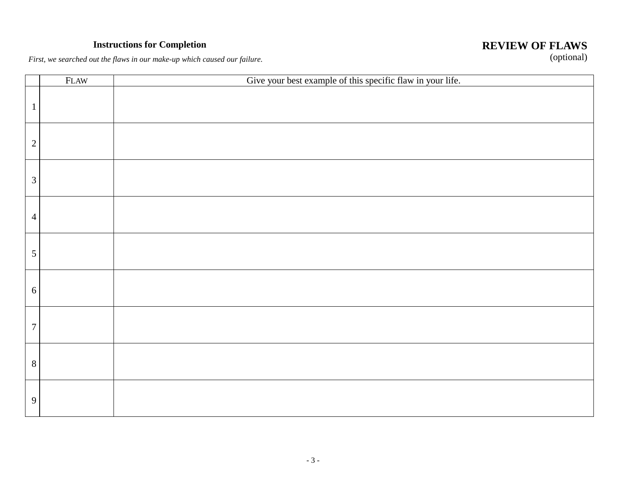# **Instructions for Completion**

# **REVIEW OF FLAWS** (optional)

*First, we searched out the flaws in our make-up which caused our failure.*

|                | <b>FLAW</b> | Give your best example of this specific flaw in your life. |
|----------------|-------------|------------------------------------------------------------|
| $\mathbf{1}$   |             |                                                            |
| $\sqrt{2}$     |             |                                                            |
| $\overline{3}$ |             |                                                            |
| $\overline{4}$ |             |                                                            |
| $\mathfrak{S}$ |             |                                                            |
| 6              |             |                                                            |
| $\overline{7}$ |             |                                                            |
| $8\,$          |             |                                                            |
| $\overline{9}$ |             |                                                            |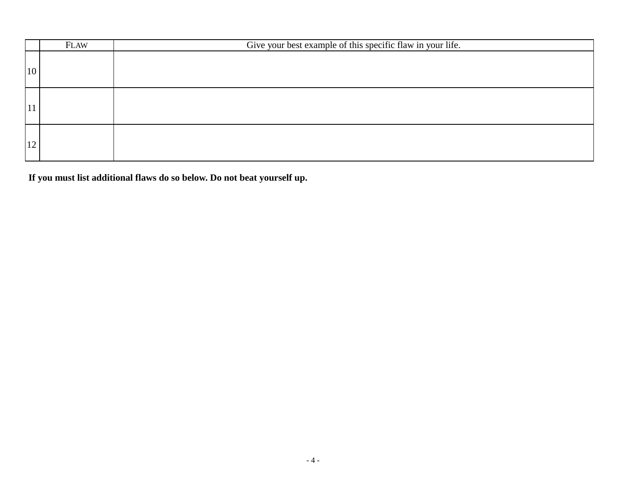|    | <b>FLAW</b> | Give your best example of this specific flaw in your life. |
|----|-------------|------------------------------------------------------------|
| 10 |             |                                                            |
| 11 |             |                                                            |
| 12 |             |                                                            |

**If you must list additional flaws do so below. Do not beat yourself up.**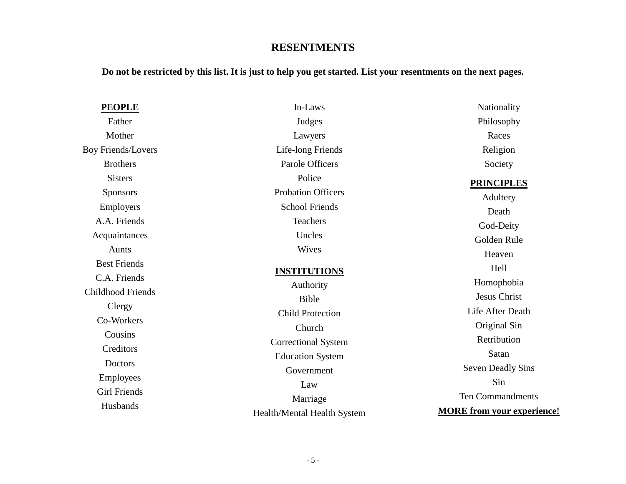# **RESENTMENTS**

**Do not be restricted by this list. It is just to help you get started. List your resentments on the next pages.** 

| <b>PEOPLE</b>             | In-Laws                     | Nationality                       |
|---------------------------|-----------------------------|-----------------------------------|
| Father                    | Judges                      | Philosophy                        |
| Mother                    | Lawyers                     | Races                             |
| <b>Boy Friends/Lovers</b> | Life-long Friends           | Religion                          |
| <b>Brothers</b>           | Parole Officers             | Society                           |
| <b>Sisters</b>            | Police                      | <b>PRINCIPLES</b>                 |
| <b>Sponsors</b>           | <b>Probation Officers</b>   | Adultery                          |
| Employers                 | <b>School Friends</b>       | Death                             |
| A.A. Friends              | <b>Teachers</b>             | God-Deity                         |
| Acquaintances             | Uncles                      | Golden Rule                       |
| Aunts                     | Wives                       | Heaven                            |
| <b>Best Friends</b>       | <b>INSTITUTIONS</b>         | Hell                              |
| C.A. Friends              | Authority                   | Homophobia                        |
| <b>Childhood Friends</b>  | Bible                       | <b>Jesus Christ</b>               |
| Clergy                    | <b>Child Protection</b>     | Life After Death                  |
| Co-Workers                | Church                      | Original Sin                      |
| Cousins                   | <b>Correctional System</b>  | Retribution                       |
| Creditors                 | <b>Education System</b>     | Satan                             |
| Doctors                   | Government                  | <b>Seven Deadly Sins</b>          |
| Employees                 | Law                         | Sin                               |
| <b>Girl Friends</b>       | Marriage                    | <b>Ten Commandments</b>           |
| Husbands                  | Health/Mental Health System | <b>MORE</b> from your experience! |
|                           |                             |                                   |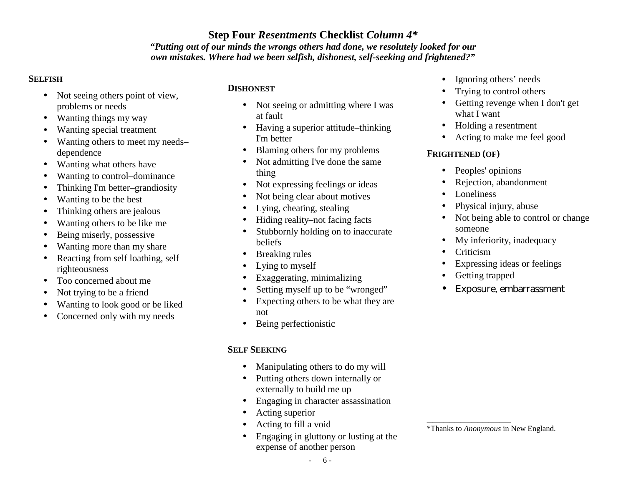# **Step Four** *Resentments* **Checklist** *Column 4\**

#### *"Putting out of our minds the wrongs others had done, we resolutely looked for our own mistakes. Where had we been selfish, dishonest, self-seeking and frightened?"*

#### **SELFISH**

- Not seeing others point of view, problems or needs
- Wanting things my way
- Wanting special treatment
- Wanting others to meet my needs– dependence
- Wanting what others have
- Wanting to control–dominance
- Thinking I'm better–grandiosity
- Wanting to be the best
- Thinking others are jealous
- Wanting others to be like me
- Being miserly, possessive
- Wanting more than my share
- Reacting from self loathing, self righteousness
- Too concerned about me
- Not trying to be a friend
- Wanting to look good or be liked
- Concerned only with my needs

## **DISHONEST**

- Not seeing or admitting where I was at fault
- Having a superior attitude–thinking I'm better
- Blaming others for my problems
- Not admitting I've done the same thing
- Not expressing feelings or ideas
- Not being clear about motives
- Lying, cheating, stealing
- Hiding reality–not facing facts
- Stubbornly holding on to inaccurate beliefs
- Breaking rules
- Lying to myself
- Exaggerating, minimalizing
- Setting myself up to be "wronged"
- Expecting others to be what they are not
- Being perfectionistic

# **SELF SEEKING**

- Manipulating others to do my will
- Putting others down internally or externally to build me up
- Engaging in character assassination
- Acting superior
- Acting to fill a void
- Engaging in gluttony or lusting at the expense of another person
- Ignoring others' needs
- Trying to control others
- Getting revenge when I don't get what I want
- Holding a resentment
- Acting to make me feel good

# **FRIGHTENED (OF)**

- Peoples' opinions
- Rejection, abandonment
- Loneliness
- Physical injury, abuse
- Not being able to control or change someone
- My inferiority, inadequacy
- Criticism
- Expressing ideas or feelings
- Getting trapped
- Exposure, embarrassment

\*Thanks to *Anonymous* in New England.

\_\_\_\_\_\_\_\_\_\_\_\_\_\_\_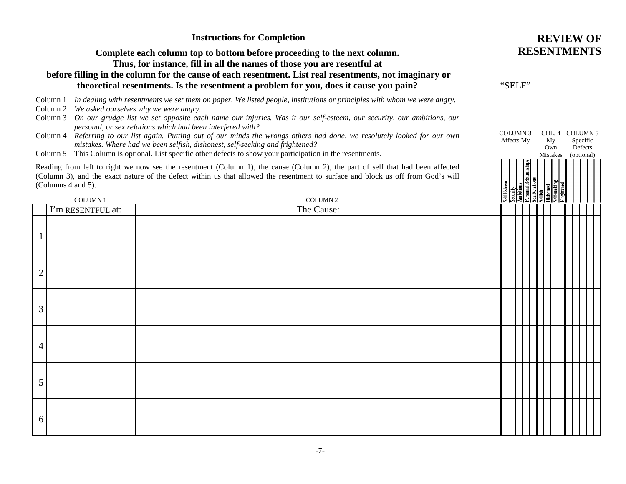|                |                                                                        | <b>Instructions for Completion</b>                                                                                                                                                                                                                                                                                                                                                                                                                                                                                                                                                                                                          | <b>REVIEW OF</b>                                                                                               |
|----------------|------------------------------------------------------------------------|---------------------------------------------------------------------------------------------------------------------------------------------------------------------------------------------------------------------------------------------------------------------------------------------------------------------------------------------------------------------------------------------------------------------------------------------------------------------------------------------------------------------------------------------------------------------------------------------------------------------------------------------|----------------------------------------------------------------------------------------------------------------|
|                |                                                                        | Complete each column top to bottom before proceeding to the next column.<br>Thus, for instance, fill in all the names of those you are resentful at<br>before filling in the column for the cause of each resentment. List real resentments, not imaginary or<br>theoretical resentments. Is the resentment a problem for you, does it cause you pain?                                                                                                                                                                                                                                                                                      | <b>RESENTMENTS</b><br>"SELF"                                                                                   |
|                | Column 1<br>Column 2 We asked ourselves why we were angry.<br>Column 3 | In dealing with resentments we set them on paper. We listed people, institutions or principles with whom we were angry.<br>On our grudge list we set opposite each name our injuries. Was it our self-esteem, our security, our ambitions, our<br>personal, or sex relations which had been interfered with?<br>Column 4 Referring to our list again. Putting out of our minds the wrongs others had done, we resolutely looked for our own<br>mistakes. Where had we been selfish, dishonest, self-seeking and frightened?<br>Column 5 This Column is optional. List specific other defects to show your participation in the resentments. | <b>COLUMN 3</b><br>COL. 4 COLUMN 5<br>Affects My<br>My<br>Specific<br>Defects<br>Own<br>Mistakes<br>(optional) |
|                | (Columns 4 and 5).                                                     | Reading from left to right we now see the resentment (Column 1), the cause (Column 2), the part of self that had been affected<br>(Column 3), and the exact nature of the defect within us that allowed the resentment to surface and block us off from God's will                                                                                                                                                                                                                                                                                                                                                                          |                                                                                                                |
|                | <b>COLUMN1</b>                                                         | <b>COLUMN 2</b>                                                                                                                                                                                                                                                                                                                                                                                                                                                                                                                                                                                                                             |                                                                                                                |
|                | I'm RESENTFUL at:                                                      | The Cause:                                                                                                                                                                                                                                                                                                                                                                                                                                                                                                                                                                                                                                  |                                                                                                                |
| $\overline{2}$ |                                                                        |                                                                                                                                                                                                                                                                                                                                                                                                                                                                                                                                                                                                                                             |                                                                                                                |
| 3              |                                                                        |                                                                                                                                                                                                                                                                                                                                                                                                                                                                                                                                                                                                                                             |                                                                                                                |
| 4              |                                                                        |                                                                                                                                                                                                                                                                                                                                                                                                                                                                                                                                                                                                                                             |                                                                                                                |
| 5              |                                                                        |                                                                                                                                                                                                                                                                                                                                                                                                                                                                                                                                                                                                                                             |                                                                                                                |
| 6              |                                                                        |                                                                                                                                                                                                                                                                                                                                                                                                                                                                                                                                                                                                                                             |                                                                                                                |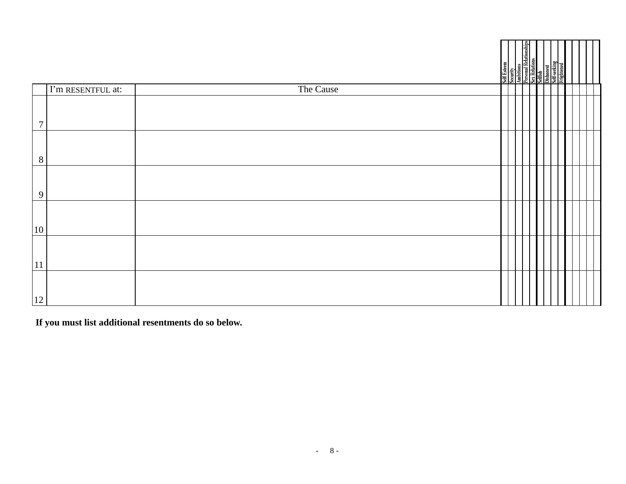|                  |                                     |           |  |  | Self Esteem<br>Security<br>Aubitions<br>Personal Relationships<br>Self-sesking<br>Self-sesking<br>Self-sesking<br>Frightened |  |  |
|------------------|-------------------------------------|-----------|--|--|------------------------------------------------------------------------------------------------------------------------------|--|--|
|                  | $\overline{\Gamma}$ m RESENTFUL at: | The Cause |  |  |                                                                                                                              |  |  |
| $\boldsymbol{7}$ |                                     |           |  |  |                                                                                                                              |  |  |
| $\, 8$           |                                     |           |  |  |                                                                                                                              |  |  |
| $\overline{9}$   |                                     |           |  |  |                                                                                                                              |  |  |
| 10               |                                     |           |  |  |                                                                                                                              |  |  |
| $ 11\rangle$     |                                     |           |  |  |                                                                                                                              |  |  |
| 12               |                                     |           |  |  |                                                                                                                              |  |  |

**If you must list additional resentments do so below.**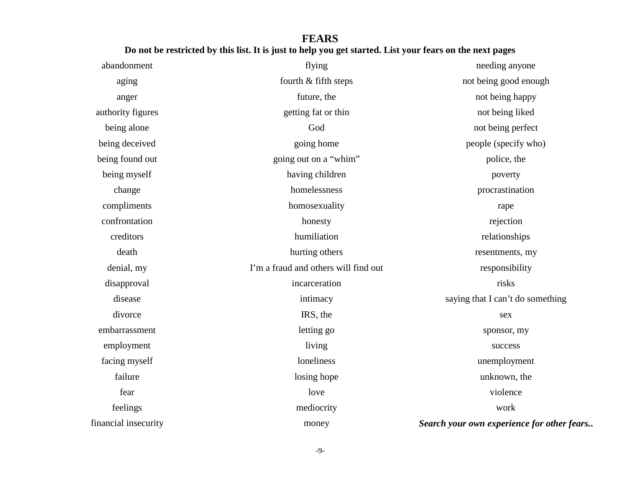# **FEARS Do not be restricted by this list. It is just to help you get started. List your fears on the next pages**

| abandonment          | flying                               | needing anyone                             |
|----------------------|--------------------------------------|--------------------------------------------|
| aging                | fourth & fifth steps                 | not being good enough                      |
| anger                | future, the                          | not being happy                            |
| authority figures    | getting fat or thin                  | not being liked                            |
| being alone          | God                                  | not being perfect                          |
| being deceived       | going home                           | people (specify who)                       |
| being found out      | going out on a "whim"                | police, the                                |
| being myself         | having children                      | poverty                                    |
| change               | homelessness                         | procrastination                            |
| compliments          | homosexuality                        | rape                                       |
| confrontation        | honesty                              | rejection                                  |
| creditors            | humiliation                          | relationships                              |
| death                | hurting others                       | resentments, my                            |
| denial, my           | I'm a fraud and others will find out | responsibility                             |
| disapproval          | incarceration                        | risks                                      |
| disease              | intimacy                             | saying that I can't do something           |
| divorce              | IRS, the                             | sex                                        |
| embarrassment        | letting go                           | sponsor, my                                |
| employment           | living                               | success                                    |
| facing myself        | loneliness                           | unemployment                               |
| failure              | losing hope                          | unknown, the                               |
| fear                 | love                                 | violence                                   |
| feelings             | mediocrity                           | work                                       |
| financial insecurity | money                                | Search your own experience for other fears |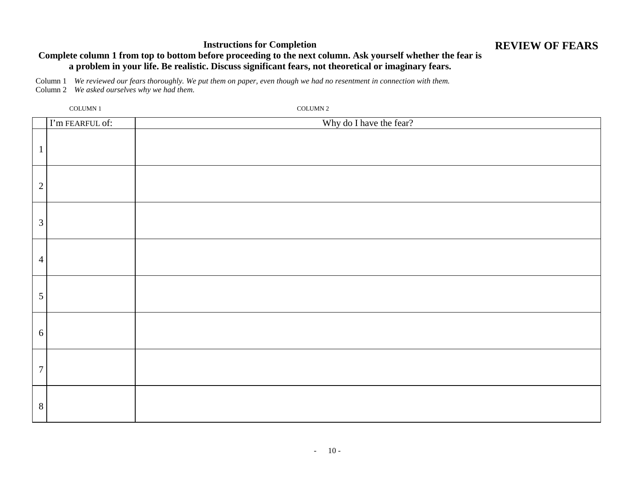#### **Instructions for Completion**

# **REVIEW OF FEARS**

#### **Complete column 1 from top to bottom before proceeding to the next column. Ask yourself whether the fear is a problem in your life. Be realistic. Discuss significant fears, not theoretical or imaginary fears.**

Column 1 *We reviewed our fears thoroughly. We put them on paper, even though we had no resentment in connection with them.*  Column 2 *We asked ourselves why we had them.* 

| COLUMN 1        | COLUMN 2                |
|-----------------|-------------------------|
| I'm FEARFUL of: | Why do I have the fear? |
|                 |                         |
| $\mathbf{2}$    |                         |
| $\mathfrak{Z}$  |                         |
| $\overline{4}$  |                         |
| 5               |                         |
| 6               |                         |
| $\overline{7}$  |                         |
| 8               |                         |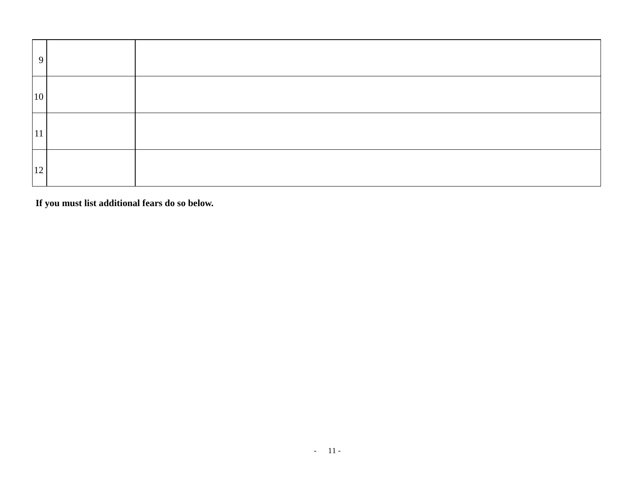| 9  |  |
|----|--|
| 10 |  |
| 11 |  |
| 12 |  |

**If you must list additional fears do so below.**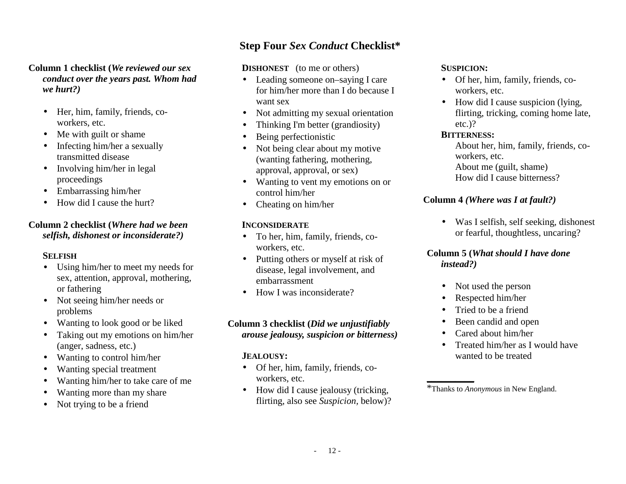#### **Column 1 checklist (***We reviewed our sex conduct over the years past. Whom had we hurt?)*

- Her, him, family, friends, coworkers, etc.
- Me with guilt or shame
- Infecting him/her a sexually transmitted disease
- Involving him/her in legal proceedings
- Embarrassing him/her
- How did I cause the hurt?

#### **Column 2 checklist (***Where had we been selfish, dishonest or inconsiderate?)*

#### **SELFISH**

- Using him/her to meet my needs for sex, attention, approval, mothering, or fathering
- Not seeing him/her needs or problems
- Wanting to look good or be liked
- Taking out my emotions on him/her (anger, sadness, etc.)
- Wanting to control him/her
- Wanting special treatment
- Wanting him/her to take care of me
- Wanting more than my share
- Not trying to be a friend

# **Step Four** *Sex Conduct* **Checklist\***

**DISHONEST** (to me or others)

- Leading someone on–saying I care for him/her more than I do because I want sex
- Not admitting my sexual orientation
- Thinking I'm better (grandiosity)
- Being perfectionistic
- Not being clear about my motive (wanting fathering, mothering, approval, approval, or sex)
- Wanting to vent my emotions on or control him/her
- Cheating on him/her

# **INCONSIDERATE**

- To her, him, family, friends, coworkers, etc.
- Putting others or myself at risk of disease, legal involvement, and embarrassment
- How I was inconsiderate?

# **Column 3 checklist (***Did we unjustifiably arouse jealousy, suspicion or bitterness)*

## **JEALOUSY:**

- Of her, him, family, friends, coworkers, etc.
- How did I cause jealousy (tricking, flirting, also see *Suspicion,* below)?

## **SUSPICION:**

- Of her, him, family, friends, coworkers, etc.
- How did I cause suspicion (lying, flirting, tricking, coming home late, etc.)?

#### **BITTERNESS:**

About her, him, family, friends, coworkers, etc. About me (guilt, shame) How did I cause bitterness?

# **Column 4** *(Where was I at fault?)*

• Was I selfish, self seeking, dishonest or fearful, thoughtless, uncaring?

## **Column 5 (***What should I have done instead?)*

- Not used the person
- Respected him/her
- Tried to be a friend
- Been candid and open
- Cared about him/her
- Treated him/her as I would have wanted to be treated

<sup>\*</sup>Thanks to *Anonymous* in New England.